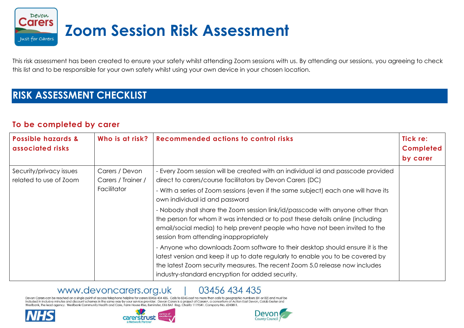

This risk assessment has been created to ensure your safety whilst attending Zoom sessions with us. By attending our sessions, you agreeing to check this list and to be responsible for your own safety whilst using your own device in your chosen location.

## **RISK ASSESSMENT CHECKLIST**

## **To be completed by carer**

| Possible hazards &<br>associated risks            | Who is at risk?                                     | <b>Recommended actions to control risks</b>                                                                                                                                                                                                                                                        | Tick re:<br><b>Completed</b><br>by carer |
|---------------------------------------------------|-----------------------------------------------------|----------------------------------------------------------------------------------------------------------------------------------------------------------------------------------------------------------------------------------------------------------------------------------------------------|------------------------------------------|
| Security/privacy issues<br>related to use of Zoom | Carers / Devon<br>Carers / Trainer /<br>Facilitator | - Every Zoom session will be created with an individual id and passcode provided<br>direct to carers/course facilitators by Devon Carers (DC)                                                                                                                                                      |                                          |
|                                                   |                                                     | - With a series of Zoom sessions (even if the same subject) each one will have its<br>own individual id and password                                                                                                                                                                               |                                          |
|                                                   |                                                     | - Nobody shall share the Zoom session link/id/passcode with anyone other than<br>the person for whom it was intended or to post these details online (including<br>email/social media) to help prevent people who have not been invited to the<br>session from attending inappropriately           |                                          |
|                                                   |                                                     | - Anyone who downloads Zoom software to their desktop should ensure it is the<br>latest version and keep it up to date regularly to enable you to be covered by<br>the latest Zoom security measures. The recent Zoom 5.0 release now includes<br>industry-standard encryption for added security. |                                          |

## www.devoncarers.org.uk

03456 434 435

Devon Carers can be reached on a single point of access telephone helpline for carers 03456 434 435. Calls to 0345 cost no more than calls to geographic numbers (01 or 02) and must be included in inclusive minutes and discount schemes in the same way by your service provider. Devon Carers is a project of Carers+, a consortium of Action East Devon, Colab Exeter and Westbank, the lead agency. Westbank Community Health and Care, Farm House Rise, Exminster, EX6 8AT Reg. Charity 1119541. Company No. 6243811.





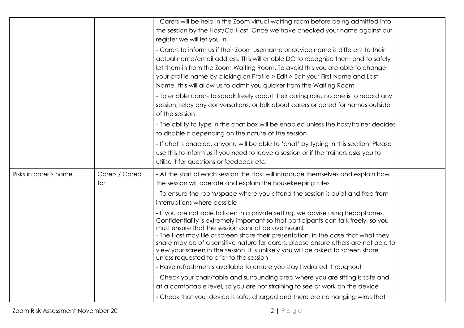|                       |                       | - Carers will be held in the Zoom virtual waiting room before being admitted into<br>the session by the Host/Co-Host. Once we have checked your name against our<br>register we will let you in.<br>- Carers to inform us if their Zoom username or device name is different to their<br>actual name/email address. This will enable DC to recognise them and to safely                                                                                                                                                                     |  |
|-----------------------|-----------------------|---------------------------------------------------------------------------------------------------------------------------------------------------------------------------------------------------------------------------------------------------------------------------------------------------------------------------------------------------------------------------------------------------------------------------------------------------------------------------------------------------------------------------------------------|--|
|                       |                       | let them in from the Zoom Waiting Room. To avoid this you are able to change<br>your profile name by clicking on Profile > Edit > Edit your First Name and Last<br>Name, this will allow us to admit you quicker from the Waiting Room                                                                                                                                                                                                                                                                                                      |  |
|                       |                       | - To enable carers to speak freely about their caring role, no one is to record any<br>session, relay any conversations, or talk about carers or cared for names outside<br>of the session                                                                                                                                                                                                                                                                                                                                                  |  |
|                       |                       | - The ability to type in the chat box will be enabled unless the host/trainer decides<br>to disable it depending on the nature of the session                                                                                                                                                                                                                                                                                                                                                                                               |  |
|                       |                       | - If chat is enabled, anyone will be able to 'chat' by typing in this section. Please<br>use this to inform us if you need to leave a session or if the trainers asks you to<br>utilise it for questions or feedback etc.                                                                                                                                                                                                                                                                                                                   |  |
| Risks in carer's home | Carers / Cared<br>for | - At the start of each session the Host will introduce themselves and explain how<br>the session will operate and explain the housekeeping rules                                                                                                                                                                                                                                                                                                                                                                                            |  |
|                       |                       | - To ensure the room/space where you attend the session is quiet and free from<br>interruptions where possible                                                                                                                                                                                                                                                                                                                                                                                                                              |  |
|                       |                       | - If you are not able to listen in a private setting, we advise using headphones.<br>Confidentiality is extremely important so that participants can talk freely, so you<br>must ensure that the session cannot be overheard.<br>- The Host may file or screen share their presentation, in the case that what they<br>share may be of a sensitive nature for carers, please ensure others are not able to<br>view your screen in the session. It is unlikely you will be asked to screen share<br>unless requested to prior to the session |  |
|                       |                       | - Have refreshments available to ensure you stay hydrated throughout<br>- Check your chair/table and surrounding area where you are sitting is safe and                                                                                                                                                                                                                                                                                                                                                                                     |  |
|                       |                       | at a comfortable level, so you are not straining to see or work on the device                                                                                                                                                                                                                                                                                                                                                                                                                                                               |  |
|                       |                       | - Check that your device is safe, charged and there are no hanging wires that                                                                                                                                                                                                                                                                                                                                                                                                                                                               |  |